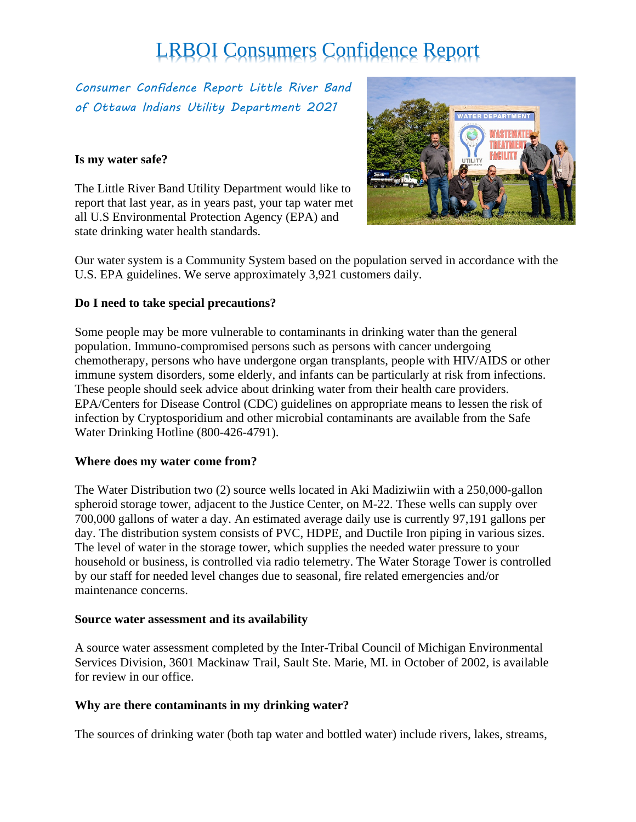*Consumer Confidence Report Little River Band of Ottawa Indians Utility Department 2021*

#### **Is my water safe?**

The Little River Band Utility Department would like to report that last year, as in years past, your tap water met all U.S Environmental Protection Agency (EPA) and state drinking water health standards.



Our water system is a Community System based on the population served in accordance with the U.S. EPA guidelines. We serve approximately 3,921 customers daily.

#### **Do I need to take special precautions?**

Some people may be more vulnerable to contaminants in drinking water than the general population. Immuno-compromised persons such as persons with cancer undergoing chemotherapy, persons who have undergone organ transplants, people with HIV/AIDS or other immune system disorders, some elderly, and infants can be particularly at risk from infections. These people should seek advice about drinking water from their health care providers. EPA/Centers for Disease Control (CDC) guidelines on appropriate means to lessen the risk of infection by Cryptosporidium and other microbial contaminants are available from the Safe Water Drinking Hotline (800-426-4791).

#### **Where does my water come from?**

The Water Distribution two (2) source wells located in Aki Madiziwiin with a 250,000-gallon spheroid storage tower, adjacent to the Justice Center, on M-22. These wells can supply over 700,000 gallons of water a day. An estimated average daily use is currently 97,191 gallons per day. The distribution system consists of PVC, HDPE, and Ductile Iron piping in various sizes. The level of water in the storage tower, which supplies the needed water pressure to your household or business, is controlled via radio telemetry. The Water Storage Tower is controlled by our staff for needed level changes due to seasonal, fire related emergencies and/or maintenance concerns.

#### **Source water assessment and its availability**

A source water assessment completed by the Inter-Tribal Council of Michigan Environmental Services Division, 3601 Mackinaw Trail, Sault Ste. Marie, MI. in October of 2002, is available for review in our office.

#### **Why are there contaminants in my drinking water?**

The sources of drinking water (both tap water and bottled water) include rivers, lakes, streams,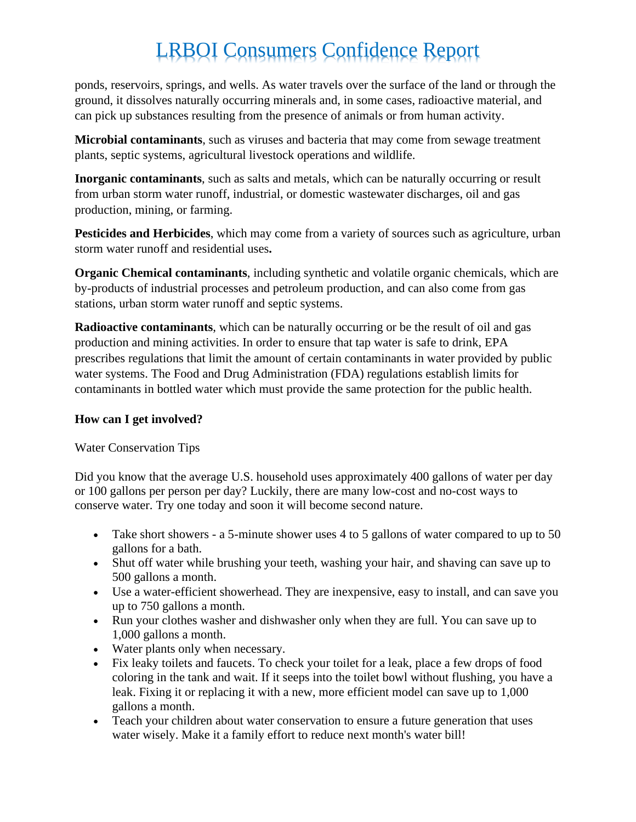ponds, reservoirs, springs, and wells. As water travels over the surface of the land or through the ground, it dissolves naturally occurring minerals and, in some cases, radioactive material, and can pick up substances resulting from the presence of animals or from human activity.

**Microbial contaminants**, such as viruses and bacteria that may come from sewage treatment plants, septic systems, agricultural livestock operations and wildlife.

**Inorganic contaminants**, such as salts and metals, which can be naturally occurring or result from urban storm water runoff, industrial, or domestic wastewater discharges, oil and gas production, mining, or farming.

**Pesticides and Herbicides**, which may come from a variety of sources such as agriculture, urban storm water runoff and residential uses**.** 

**Organic Chemical contaminants**, including synthetic and volatile organic chemicals, which are by-products of industrial processes and petroleum production, and can also come from gas stations, urban storm water runoff and septic systems.

**Radioactive contaminants**, which can be naturally occurring or be the result of oil and gas production and mining activities. In order to ensure that tap water is safe to drink, EPA prescribes regulations that limit the amount of certain contaminants in water provided by public water systems. The Food and Drug Administration (FDA) regulations establish limits for contaminants in bottled water which must provide the same protection for the public health.

#### **How can I get involved?**

Water Conservation Tips

Did you know that the average U.S. household uses approximately 400 gallons of water per day or 100 gallons per person per day? Luckily, there are many low-cost and no-cost ways to conserve water. Try one today and soon it will become second nature.

- Take short showers a 5-minute shower uses 4 to 5 gallons of water compared to up to 50 gallons for a bath.
- Shut off water while brushing your teeth, washing your hair, and shaving can save up to 500 gallons a month.
- Use a water-efficient showerhead. They are inexpensive, easy to install, and can save you up to 750 gallons a month.
- Run your clothes washer and dishwasher only when they are full. You can save up to 1,000 gallons a month.
- Water plants only when necessary.
- Fix leaky toilets and faucets. To check your toilet for a leak, place a few drops of food coloring in the tank and wait. If it seeps into the toilet bowl without flushing, you have a leak. Fixing it or replacing it with a new, more efficient model can save up to 1,000 gallons a month.
- Teach your children about water conservation to ensure a future generation that uses water wisely. Make it a family effort to reduce next month's water bill!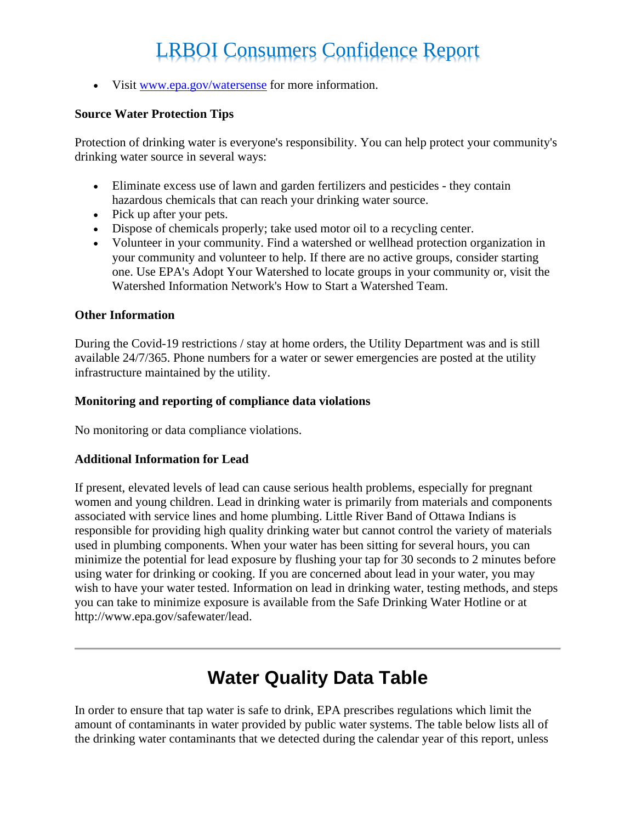• Visit [www.epa.gov/watersense](http://www.epa.gov/watersense) for more information.

#### **Source Water Protection Tips**

Protection of drinking water is everyone's responsibility. You can help protect your community's drinking water source in several ways:

- Eliminate excess use of lawn and garden fertilizers and pesticides they contain hazardous chemicals that can reach your drinking water source.
- Pick up after your pets.
- Dispose of chemicals properly; take used motor oil to a recycling center.
- Volunteer in your community. Find a watershed or wellhead protection organization in your community and volunteer to help. If there are no active groups, consider starting one. Use EPA's Adopt Your Watershed to locate groups in your community or, visit the Watershed Information Network's How to Start a Watershed Team.

#### **Other Information**

During the Covid-19 restrictions / stay at home orders, the Utility Department was and is still available 24/7/365. Phone numbers for a water or sewer emergencies are posted at the utility infrastructure maintained by the utility.

#### **Monitoring and reporting of compliance data violations**

No monitoring or data compliance violations.

#### **Additional Information for Lead**

If present, elevated levels of lead can cause serious health problems, especially for pregnant women and young children. Lead in drinking water is primarily from materials and components associated with service lines and home plumbing. Little River Band of Ottawa Indians is responsible for providing high quality drinking water but cannot control the variety of materials used in plumbing components. When your water has been sitting for several hours, you can minimize the potential for lead exposure by flushing your tap for 30 seconds to 2 minutes before using water for drinking or cooking. If you are concerned about lead in your water, you may wish to have your water tested. Information on lead in drinking water, testing methods, and steps you can take to minimize exposure is available from the Safe Drinking Water Hotline or at http://www.epa.gov/safewater/lead.

### **Water Quality Data Table**

In order to ensure that tap water is safe to drink, EPA prescribes regulations which limit the amount of contaminants in water provided by public water systems. The table below lists all of the drinking water contaminants that we detected during the calendar year of this report, unless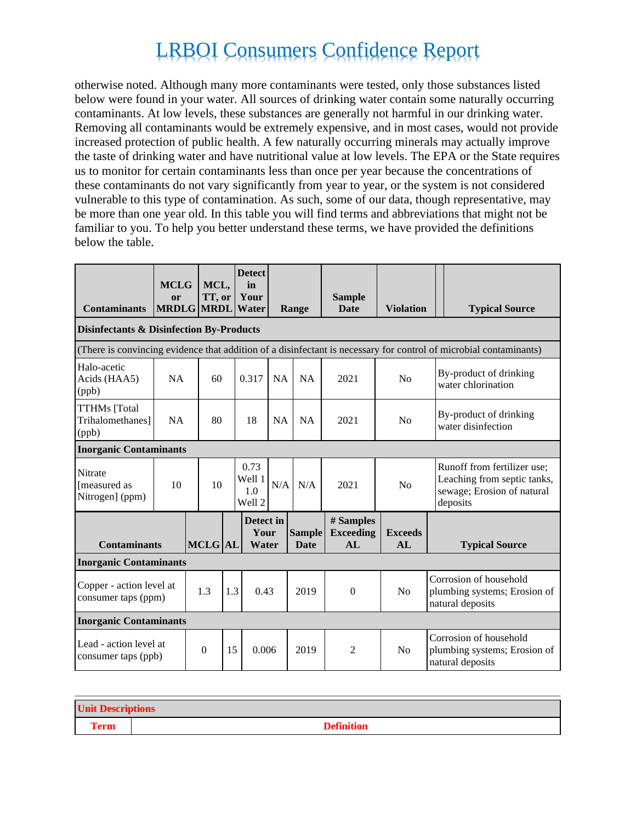otherwise noted. Although many more contaminants were tested, only those substances listed below were found in your water. All sources of drinking water contain some naturally occurring contaminants. At low levels, these substances are generally not harmful in our drinking water. Removing all contaminants would be extremely expensive, and in most cases, would not provide increased protection of public health. A few naturally occurring minerals may actually improve the taste of drinking water and have nutritional value at low levels. The EPA or the State requires us to monitor for certain contaminants less than once per year because the concentrations of these contaminants do not vary significantly from year to year, or the system is not considered vulnerable to this type of contamination. As such, some of our data, though representative, may be more than one year old. In this table you will find terms and abbreviations that might not be familiar to you. To help you better understand these terms, we have provided the definitions below the table.

| <b>Contaminants</b>                                                                                               | <b>MCLG</b><br><sub>or</sub> | MCL,<br>TT, or<br><b>MRDLG MRDL</b> |     | <b>Detect</b><br>in<br>Your<br>Water |           | Range                        | <b>Sample</b><br>Date               | <b>Violation</b>     |  | <b>Typical Source</b>                                                                                |
|-------------------------------------------------------------------------------------------------------------------|------------------------------|-------------------------------------|-----|--------------------------------------|-----------|------------------------------|-------------------------------------|----------------------|--|------------------------------------------------------------------------------------------------------|
| <b>Disinfectants &amp; Disinfection By-Products</b>                                                               |                              |                                     |     |                                      |           |                              |                                     |                      |  |                                                                                                      |
| (There is convincing evidence that addition of a disinfectant is necessary for control of microbial contaminants) |                              |                                     |     |                                      |           |                              |                                     |                      |  |                                                                                                      |
| Halo-acetic<br>Acids (HAA5)<br>(ppb)                                                                              | NA                           | 60                                  |     | 0.317                                | <b>NA</b> | NA                           | 2021                                | No                   |  | By-product of drinking<br>water chlorination                                                         |
| <b>TTHMs</b> [Total<br>Trihalomethanes]<br>(ppb)                                                                  | <b>NA</b>                    | 80                                  |     | 18                                   | <b>NA</b> | <b>NA</b>                    | 2021                                | No                   |  | By-product of drinking<br>water disinfection                                                         |
| <b>Inorganic Contaminants</b>                                                                                     |                              |                                     |     |                                      |           |                              |                                     |                      |  |                                                                                                      |
| <b>Nitrate</b><br>[measured as<br>Nitrogen] (ppm)                                                                 | 10<br>10                     |                                     |     | 0.73<br>Well 1<br>1.0<br>Well 2      | N/A       | N/A                          | 2021                                | No                   |  | Runoff from fertilizer use;<br>Leaching from septic tanks,<br>sewage; Erosion of natural<br>deposits |
| <b>Contaminants</b>                                                                                               |                              | <b>MCLG</b> AL                      |     | Detect in<br>Your<br>Water           |           | <b>Sample</b><br><b>Date</b> | # Samples<br><b>Exceeding</b><br>AI | <b>Exceeds</b><br>AL |  | <b>Typical Source</b>                                                                                |
| <b>Inorganic Contaminants</b>                                                                                     |                              |                                     |     |                                      |           |                              |                                     |                      |  |                                                                                                      |
| Copper - action level at<br>consumer taps (ppm)                                                                   |                              | 1.3                                 | 1.3 | 0.43                                 |           | 2019                         | $\Omega$                            | No                   |  | Corrosion of household<br>plumbing systems; Erosion of<br>natural deposits                           |
| <b>Inorganic Contaminants</b>                                                                                     |                              |                                     |     |                                      |           |                              |                                     |                      |  |                                                                                                      |
| Lead - action level at<br>consumer taps (ppb)                                                                     |                              | $\Omega$                            | 15  | 0.006                                |           | 2019                         | $\overline{2}$                      | N <sub>o</sub>       |  | Corrosion of household<br>plumbing systems; Erosion of<br>natural deposits                           |

| <b>Unit Descriptions</b> |                   |  |  |  |
|--------------------------|-------------------|--|--|--|
| <b>Term</b>              | <b>Definition</b> |  |  |  |